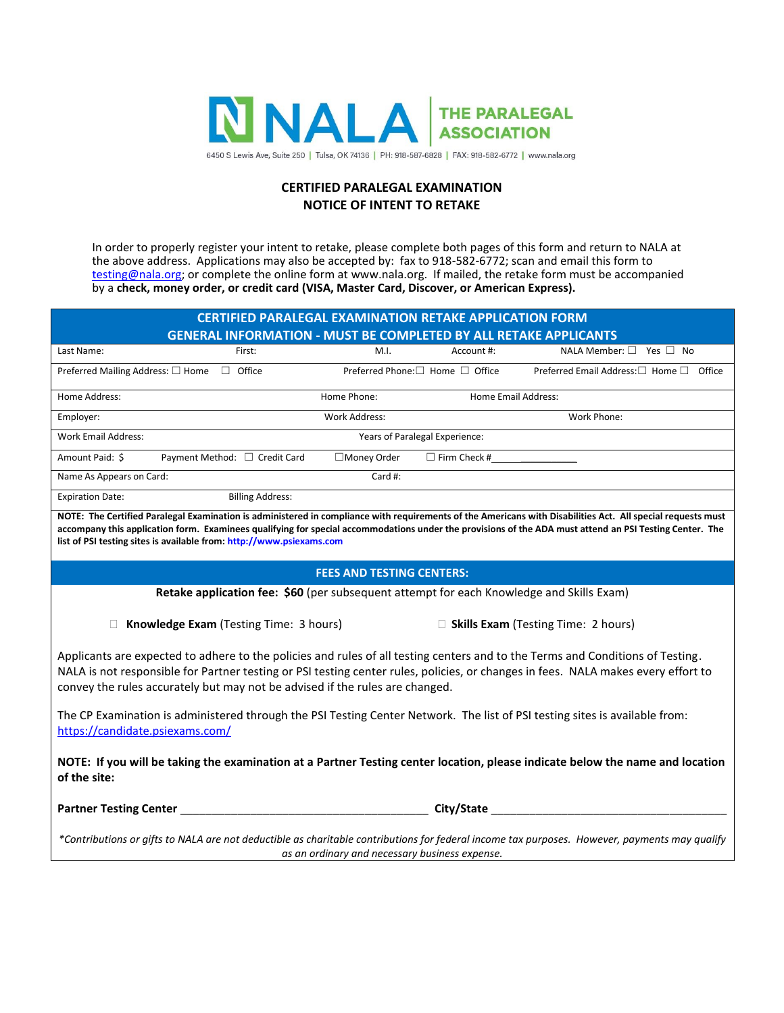

### **CERTIFIED PARALEGAL EXAMINATION NOTICE OF INTENT TO RETAKE**

In order to properly register your intent to retake, please complete both pages of this form and return to NALA at the above address. Applications may also be accepted by: fax to 918-582-6772; scan and email this form to [testing@nala.org;](mailto:testing@nala.org) or complete the online form at www.nala.org. If mailed, the retake form must be accompanied by a **check, money order, or credit card (VISA, Master Card, Discover, or American Express).** 

| <b>CERTIFIED PARALEGAL EXAMINATION RETAKE APPLICATION FORM</b>                                                                                                                                                                                                                                                                                                                                 |               |                                  |                                                                                                                |
|------------------------------------------------------------------------------------------------------------------------------------------------------------------------------------------------------------------------------------------------------------------------------------------------------------------------------------------------------------------------------------------------|---------------|----------------------------------|----------------------------------------------------------------------------------------------------------------|
| <b>GENERAL INFORMATION - MUST BE COMPLETED BY ALL RETAKE APPLICANTS</b>                                                                                                                                                                                                                                                                                                                        |               |                                  |                                                                                                                |
| Last Name:<br>First:                                                                                                                                                                                                                                                                                                                                                                           | M.I.          | Account #:                       | NALA Member: $\Box$ Yes $\Box$ No                                                                              |
| Preferred Mailing Address: □ Home □ Office                                                                                                                                                                                                                                                                                                                                                     |               | Preferred Phone: □ Home □ Office | Preferred Email Address:□ Home □ Office                                                                        |
| Home Address:                                                                                                                                                                                                                                                                                                                                                                                  | Home Phone:   | <b>Home Email Address:</b>       |                                                                                                                |
| Employer:                                                                                                                                                                                                                                                                                                                                                                                      | Work Address: |                                  | Work Phone:                                                                                                    |
| <b>Work Email Address:</b><br>Years of Paralegal Experience:                                                                                                                                                                                                                                                                                                                                   |               |                                  |                                                                                                                |
| Amount Paid: \$<br>Payment Method: □ Credit Card                                                                                                                                                                                                                                                                                                                                               | □Money Order  | $\Box$ Firm Check #              |                                                                                                                |
| Name As Appears on Card:                                                                                                                                                                                                                                                                                                                                                                       | Card #:       |                                  |                                                                                                                |
| <b>Expiration Date:</b><br><b>Billing Address:</b>                                                                                                                                                                                                                                                                                                                                             |               |                                  |                                                                                                                |
| NOTE: The Certified Paralegal Examination is administered in compliance with requirements of the Americans with Disabilities Act. All special requests must<br>accompany this application form. Examinees qualifying for special accommodations under the provisions of the ADA must attend an PSI Testing Center. The<br>list of PSI testing sites is available from: http://www.psiexams.com |               |                                  |                                                                                                                |
| <b>FEES AND TESTING CENTERS:</b>                                                                                                                                                                                                                                                                                                                                                               |               |                                  |                                                                                                                |
| Retake application fee: \$60 (per subsequent attempt for each Knowledge and Skills Exam)                                                                                                                                                                                                                                                                                                       |               |                                  |                                                                                                                |
| Knowledge Exam (Testing Time: 3 hours)<br>$\Box$ Skills Exam (Testing Time: 2 hours)                                                                                                                                                                                                                                                                                                           |               |                                  |                                                                                                                |
| Applicants are expected to adhere to the policies and rules of all testing centers and to the Terms and Conditions of Testing.<br>NALA is not responsible for Partner testing or PSI testing center rules, policies, or changes in fees. NALA makes every effort to<br>convey the rules accurately but may not be advised if the rules are changed.                                            |               |                                  |                                                                                                                |
| The CP Examination is administered through the PSI Testing Center Network. The list of PSI testing sites is available from:<br>https://candidate.psiexams.com/                                                                                                                                                                                                                                 |               |                                  |                                                                                                                |
| NOTE: If you will be taking the examination at a Partner Testing center location, please indicate below the name and location<br>of the site:                                                                                                                                                                                                                                                  |               |                                  |                                                                                                                |
|                                                                                                                                                                                                                                                                                                                                                                                                |               |                                  | City/State and the control of the control of the control of the control of the control of the control of the c |
| *Contributions or gifts to NALA are not deductible as charitable contributions for federal income tax purposes. However, payments may qualify<br>as an ordinary and necessary business expense.                                                                                                                                                                                                |               |                                  |                                                                                                                |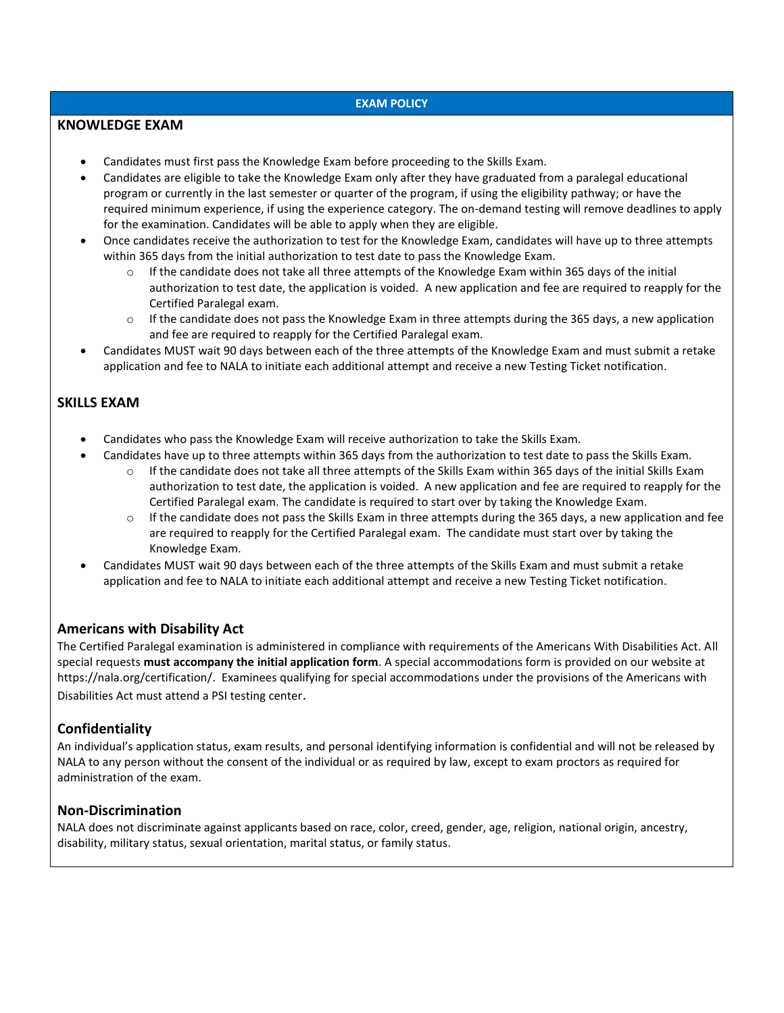### **EXAM POLICY**

### **KNOWLEDGE EXAM**

- Candidates must first pass the Knowledge Exam before proceeding to the Skills Exam.
- Candidates are eligible to take the Knowledge Exam only after they have graduated from a paralegal educational program or currently in the last semester or quarter of the program, if using the eligibility pathway; or have the required minimum experience, if using the experience category. The on-demand testing will remove deadlines to apply for the examination. Candidates will be able to apply when they are eligible.
- Once candidates receive the authorization to test for the Knowledge Exam, candidates will have up to three attempts within 365 days from the initial authorization to test date to pass the Knowledge Exam.
	- $\circ$  If the candidate does not take all three attempts of the Knowledge Exam within 365 days of the initial authorization to test date, the application is voided. A new application and fee are required to reapply for the Certified Paralegal exam.
	- $\circ$  If the candidate does not pass the Knowledge Exam in three attempts during the 365 days, a new application and fee are required to reapply for the Certified Paralegal exam.
- Candidates MUST wait 90 days between each of the three attempts of the Knowledge Exam and must submit a retake application and fee to NALA to initiate each additional attempt and receive a new Testing Ticket notification.

# **SKILLS EXAM**

- Candidates who pass the Knowledge Exam will receive authorization to take the Skills Exam.
	- Candidates have up to three attempts within 365 days from the authorization to test date to pass the Skills Exam.
		- $\circ$  If the candidate does not take all three attempts of the Skills Exam within 365 days of the initial Skills Exam authorization to test date, the application is voided. A new application and fee are required to reapply for the Certified Paralegal exam. The candidate is required to start over by taking the Knowledge Exam.
		- $\circ$  If the candidate does not pass the Skills Exam in three attempts during the 365 days, a new application and fee are required to reapply for the Certified Paralegal exam. The candidate must start over by taking the Knowledge Exam.
- Candidates MUST wait 90 days between each of the three attempts of the Skills Exam and must submit a retake application and fee to NALA to initiate each additional attempt and receive a new Testing Ticket notification.

# **Americans with Disability Act**

The Certified Paralegal examination is administered in compliance with requirements of the Americans With Disabilities Act. All special requests **must accompany the initial application form**. A special accommodations form is provided on our website at https://nala.org/certification/. Examinees qualifying for special accommodations under the provisions of the Americans with Disabilities Act must attend a PSI testing center.

# **Confidentiality**

An individual's application status, exam results, and personal identifying information is confidential and will not be released by NALA to any person without the consent of the individual or as required by law, except to exam proctors as required for administration of the exam.

# **Non-Discrimination**

NALA does not discriminate against applicants based on race, color, creed, gender, age, religion, national origin, ancestry, disability, military status, sexual orientation, marital status, or family status.